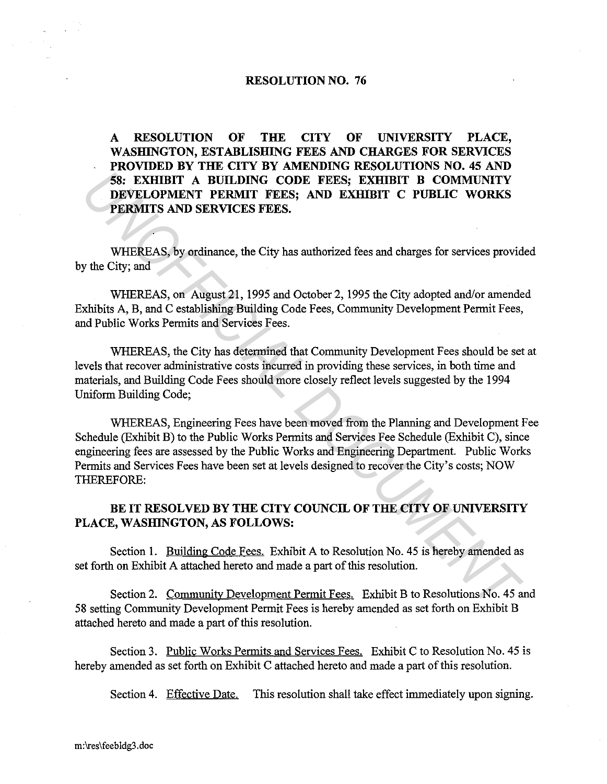#### **RESOLUTION NO. 76**

**A RESOLUTION OF THE CITY OF UNIVERSITY PLACE,**  WASHINGTON, ESTABLISHING FEES AND CHARGES FOR SERVICES **PROVIDED BY THE CITY BY AMENDING RESOLUTIONS NO. 45 AND 58: EXHIBIT A BUILDING CODE FEES; EXHIBIT B COMMUNITY DEVELOPMENT PERMIT FEES; AND EXHIBIT C PUBLIC WORKS PERMITS AND SERVICES FEES.** 

WHEREAS, by ordinance, the City has authorized fees and charges for services provided by the City; and

WHEREAS, on August 21, 1995 and October 2, 1995 the City adopted and/or amended Exhibits A, B, and C establishing Building Code Fees, Community Development Permit Fees, and Public Works Permits and Services Fees.

WHEREAS, the City has determined that Community Development Fees should be set at levels that recover administrative costs incurred in providing these services, in both time and materials, and Building Code Fees should more closely reflect levels suggested by the 1994 Uniform Building Code;

WHEREAS, Engineering Fees have been moved from the Planning and Development Fee Schedule (Exhibit B) to the Public Works Permits and Services Fee Schedule (Exhibit C), since engineering fees are assessed by the Public Works and Engineering Department. Public Works Permits and Services Fees have been set at levels designed to recover the City's costs; NOW THEREFORE: **EXEMPLY A BUILDING CODE FEES; EXHIBIT B COMMUNITY**<br> **DEVELOPMENT PREMIT FOR AND EXERT PERMITS AND EXERT PREMITS AND SERVICES FEES.**<br> **WHEREAS, by ordinance, the City has authorized fees and charges for services provid<br>
th** 

## **BE IT RESOLVED BY THE CITY COUNCIL OF THE CITY OF UNIVERSITY PLACE, WASHINGTON, AS FOLLOWS:**

Section **1.** Building Code Fees. Exhibit A to Resolution No. 45 is hereby amended as set forth on Exhibit A attached hereto and made a part of this resolution.

Section 2. Community Development Permit Fees. Exhibit B to Resolutions No. 45 and 58 setting Community Development Permit Fees is hereby amended as set forth on Exhibit B attached hereto and made a part of this resolution.

Section 3. Public Works Permits and Services Fees. Exhibit C to Resolution No. 45 is hereby amended as set forth on Exhibit C attached hereto and made a part of this resolution.

Section 4. Effective Date. This resolution shall take effect immediately upon signing.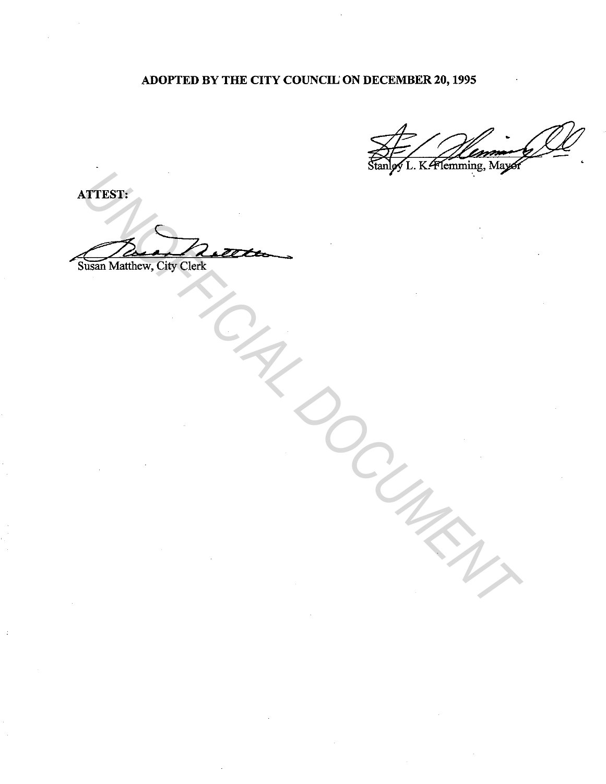# ADOPTED BY THE CITY COUNCIL' ON DECEMBER 20, 1995

ATTEST:

~4 ~ *h.n1·...,\_* \_,. WITHOUT Matthew, City Clerk<br>Matthew, City Clerk<br>Clay of Clerk<br>Clay of Clay of Clay of Clay of Clay of Clay of Clay of Clay of Clay of Clay of Clay of Clay of Clay of Clay of Clay of Clay of Clay of Clay of Clay of Clay of

Susan Matthew, City Clerk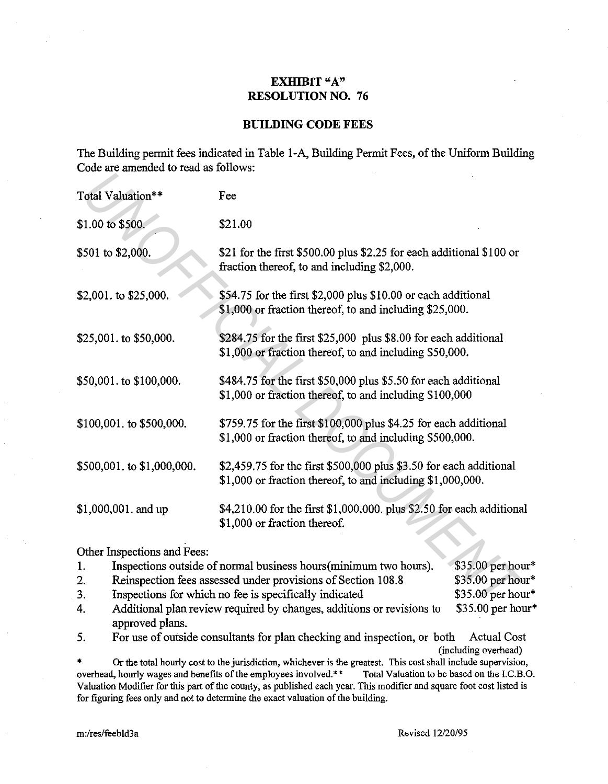## **EXHIBIT** "A" **RESOLUTION NO. 76**

#### **BUILDING CODE FEES**

The Building permit fees indicated in Table 1-A, Building Permit Fees, of the Uniform Building Code are amended to read as follows:

| Total Valuation**                                                                                                                                    | Fee                                                                                                                              |                  |
|------------------------------------------------------------------------------------------------------------------------------------------------------|----------------------------------------------------------------------------------------------------------------------------------|------------------|
| \$1.00 to \$500.                                                                                                                                     | \$21.00                                                                                                                          |                  |
| \$501 to \$2,000.                                                                                                                                    | \$21 for the first \$500.00 plus \$2.25 for each additional \$100 or<br>fraction thereof, to and including \$2,000.              |                  |
| \$2,001. to \$25,000.                                                                                                                                | \$54.75 for the first \$2,000 plus \$10.00 or each additional<br>\$1,000 or fraction thereof, to and including \$25,000.         |                  |
| \$284.75 for the first \$25,000 plus \$8.00 for each additional<br>\$25,001. to \$50,000.<br>\$1,000 or fraction thereof, to and including \$50,000. |                                                                                                                                  |                  |
| \$50,001. to \$100,000.                                                                                                                              | \$484.75 for the first \$50,000 plus \$5.50 for each additional<br>\$1,000 or fraction thereof, to and including \$100,000       |                  |
| \$100,001. to \$500,000.                                                                                                                             | \$759.75 for the first \$100,000 plus \$4.25 for each additional<br>\$1,000 or fraction thereof, to and including \$500,000.     |                  |
| \$500,001. to \$1,000,000.                                                                                                                           | \$2,459.75 for the first \$500,000 plus \$3.50 for each additional<br>\$1,000 or fraction thereof, to and including \$1,000,000. |                  |
| \$1,000,001. and up                                                                                                                                  | \$4,210.00 for the first \$1,000,000. plus \$2.50 for each additional<br>\$1,000 or fraction thereof.                            |                  |
| Other Inspections and Fees:                                                                                                                          |                                                                                                                                  |                  |
| 1.                                                                                                                                                   | Inspections outside of normal business hours (minimum two hours).                                                                | \$35.00 per hour |
| 2.                                                                                                                                                   | Reinspection fees assessed under provisions of Section 108.8                                                                     | \$35.00 per hour |
| 3.                                                                                                                                                   | Inspections for which no fee is specifically indicated                                                                           | \$35.00 per hour |
| 4                                                                                                                                                    | Additional plan review required by changes, additions or revisions to                                                            | \$35.00 per hou! |

| 1. | Inspections outside of normal business hours (minimum two hours).     | $$35.00$ per hour* |
|----|-----------------------------------------------------------------------|--------------------|
| 2. | Reinspection fees assessed under provisions of Section 108.8          | $$35.00$ per hour* |
| 3. | Inspections for which no fee is specifically indicated                | $$35.00$ per hour* |
| 4. | Additional plan review required by changes, additions or revisions to | $$35.00$ per hour* |
|    | approved plans.                                                       |                    |

5. For use of outside consultants for plan checking and inspection, or both Actual Cost (including overhead)

\* Or the total hourly cost to the jurisdiction, whichever is the greatest. This cost shall include supervision, overhead, hourly wages and benefits of the employees involved.\*\* Total Valuation to be based on the I.C.B.O. Valuation Modifier for this part of the county, as published each year. This modifier and square foot cost listed is for figuring fees only and not to determine the exact valuation of the building.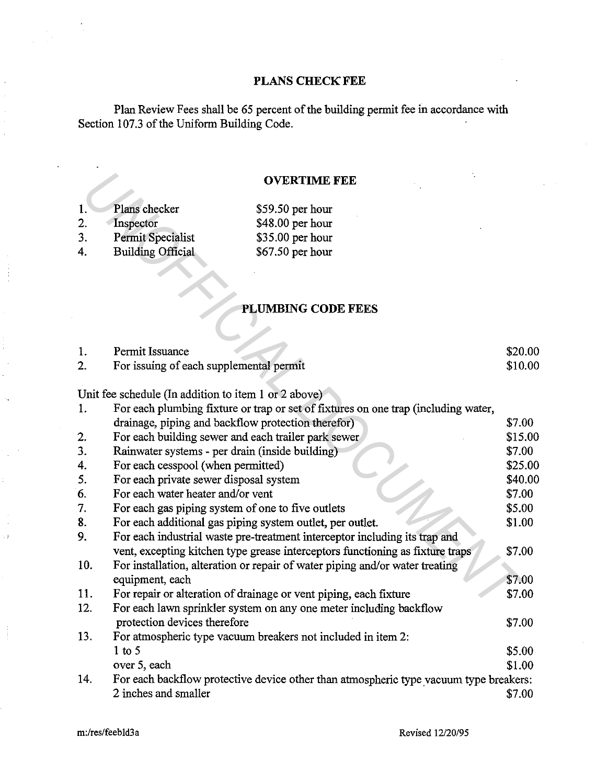## **PLANS CHECK FEE**

Plan Review Fees shall be 65 percent of the building permit fee in accordance with Section 107.3 of the Uniform Building Code.

#### **OVERTIME FEE**

- **1.**  2. Plans checker **Inspector** \$59.50 per hour
- 3. Permit Specialist
- 4. Building Official

# **PLUMBING CODE FEES**

|     |                                                           | <b>OVERTIME FEE</b>                                                                   |         |
|-----|-----------------------------------------------------------|---------------------------------------------------------------------------------------|---------|
|     |                                                           |                                                                                       |         |
| 1.  | Plans checker                                             | \$59.50 per hour                                                                      |         |
| 2.  | Inspector                                                 | $$48.00$ per hour                                                                     |         |
| 3.  | Permit Specialist                                         | \$35.00 per hour                                                                      |         |
| 4.  | <b>Building Official</b>                                  | \$67.50 per hour                                                                      |         |
|     |                                                           |                                                                                       |         |
|     |                                                           |                                                                                       |         |
|     |                                                           | <b>PLUMBING CODE FEES</b>                                                             |         |
|     |                                                           |                                                                                       |         |
| 1.  | Permit Issuance                                           |                                                                                       | \$20.00 |
| 2.  | For issuing of each supplemental permit                   |                                                                                       | \$10.00 |
|     | Unit fee schedule (In addition to item 1 or 2 above)      |                                                                                       |         |
| 1.  |                                                           | For each plumbing fixture or trap or set of fixtures on one trap (including water,    |         |
|     | drainage, piping and backflow protection therefor)        |                                                                                       | \$7.00  |
| 2.  | For each building sewer and each trailer park sewer       |                                                                                       | \$15.00 |
| 3.  | Rainwater systems - per drain (inside building)           |                                                                                       | \$7.00  |
| 4.  | For each cesspool (when permitted)                        |                                                                                       | \$25.00 |
| 5.  | For each private sewer disposal system                    |                                                                                       | \$40.00 |
| 6.  | For each water heater and/or vent                         |                                                                                       | \$7.00  |
| 7.  | For each gas piping system of one to five outlets         |                                                                                       | \$5.00  |
| 8.  | For each additional gas piping system outlet, per outlet. |                                                                                       | \$1.00  |
| 9.  |                                                           | For each industrial waste pre-treatment interceptor including its trap and            |         |
|     |                                                           | vent, excepting kitchen type grease interceptors functioning as fixture traps         | \$7.00  |
| 10. |                                                           | For installation, alteration or repair of water piping and/or water treating          |         |
|     | equipment, each                                           |                                                                                       | \$7.00  |
| 11. |                                                           | For repair or alteration of drainage or vent piping, each fixture                     | \$7.00  |
| 12. |                                                           | For each lawn sprinkler system on any one meter including backflow                    |         |
|     | protection devices therefore                              |                                                                                       | \$7.00  |
| 13. |                                                           | For atmospheric type vacuum breakers not included in item 2:                          |         |
|     | $1$ to 5                                                  |                                                                                       | \$5.00  |
|     | over 5, each                                              |                                                                                       | \$1.00  |
| 14. |                                                           | For each backflow protective device other than atmospheric type vacuum type breakers: |         |
|     | 2 inches and smaller                                      |                                                                                       | \$7.00  |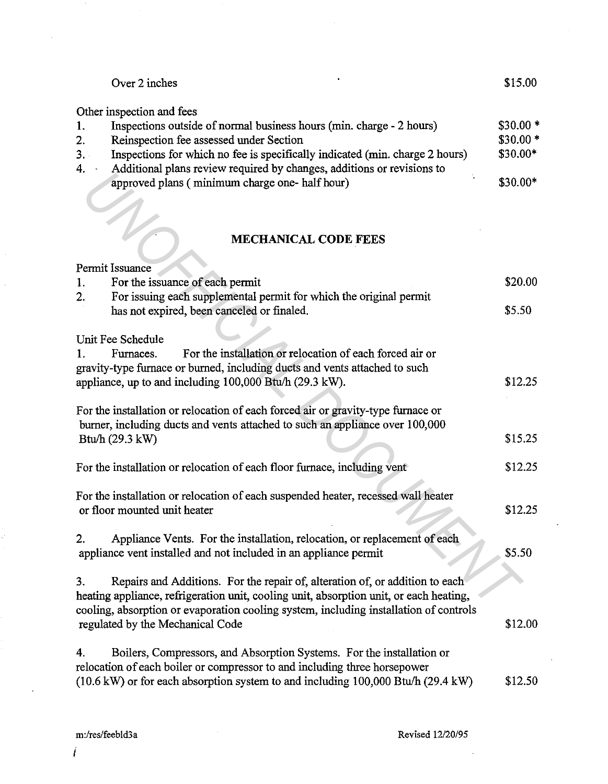|     | Over 2 inches                                                                | \$15.00   |
|-----|------------------------------------------------------------------------------|-----------|
|     | Other inspection and fees                                                    |           |
|     | Inspections outside of normal business hours (min. charge - 2 hours)         | $$30.00*$ |
| 2.  | Reinspection fee assessed under Section                                      | $$30.00*$ |
| 3.1 | Inspections for which no fee is specifically indicated (min. charge 2 hours) | $$30.00*$ |
| 4.  | Additional plans review required by changes, additions or revisions to       |           |
|     | approved plans (minimum charge one- half hour)                               | $$30.00*$ |

# **MECHANICAL CODE FEES**

|    | <i>P</i> uditional plans foviow required by enalges, additions of fovisions to<br>approved plans (minimum charge one- half hour) | \$30.00* |
|----|----------------------------------------------------------------------------------------------------------------------------------|----------|
|    |                                                                                                                                  |          |
|    | <b>MECHANICAL CODE FEES</b>                                                                                                      |          |
|    | Permit Issuance                                                                                                                  |          |
| 1. | For the issuance of each permit                                                                                                  | \$20.00  |
| 2. | For issuing each supplemental permit for which the original permit                                                               |          |
|    | has not expired, been canceled or finaled.                                                                                       | \$5.50   |
|    | Unit Fee Schedule                                                                                                                |          |
| Ι. | For the installation or relocation of each forced air or<br>Furnaces.                                                            |          |
|    | gravity-type furnace or burned, including ducts and vents attached to such                                                       |          |
|    | appliance, up to and including 100,000 Btu/h (29.3 kW).                                                                          | \$12.25  |
|    |                                                                                                                                  |          |
|    | For the installation or relocation of each forced air or gravity-type furnace or                                                 |          |
|    | burner, including ducts and vents attached to such an appliance over 100,000                                                     |          |
|    | Btu/h $(29.3 \text{ kW})$                                                                                                        | \$15.25  |
|    |                                                                                                                                  | \$12.25  |
|    | For the installation or relocation of each floor furnace, including vent                                                         |          |
|    | For the installation or relocation of each suspended heater, recessed wall heater                                                |          |
|    | or floor mounted unit heater                                                                                                     | \$12.25  |
|    |                                                                                                                                  |          |
| 2. | Appliance Vents. For the installation, relocation, or replacement of each                                                        |          |
|    | appliance vent installed and not included in an appliance permit                                                                 | \$5.50   |
| 3. | Repairs and Additions. For the repair of, alteration of, or addition to each                                                     |          |
|    | heating appliance, refrigeration unit, cooling unit, absorption unit, or each heating,                                           |          |
|    | cooling, absorption or evaporation cooling system, including installation of controls                                            |          |
|    | regulated by the Mechanical Code                                                                                                 | \$12.00  |
|    |                                                                                                                                  |          |
| 4. | Boilers, Compressors, and Absorption Systems. For the installation or                                                            |          |
|    | relocation of each boiler or compressor to and including three horsepower                                                        |          |
|    | (10.6 kW) or for each absorption system to and including 100,000 Btu/h (29.4 kW)                                                 | \$12.50  |

I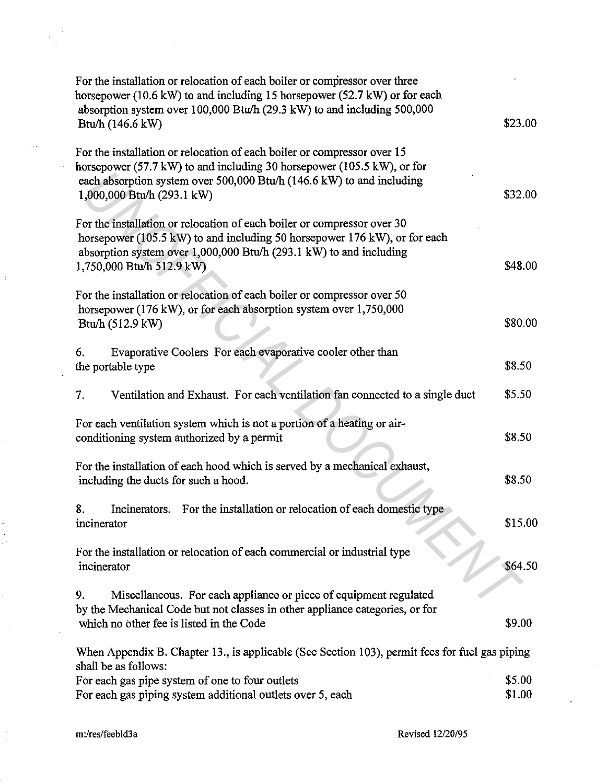| For the installation or relocation of each boiler or compressor over three<br>horsepower (10.6 kW) to and including 15 horsepower (52.7 kW) or for each<br>absorption system over 100,000 Btu/h (29.3 kW) to and including 500,000<br>Btu/h (146.6 kW)   | \$23.00          |  |
|----------------------------------------------------------------------------------------------------------------------------------------------------------------------------------------------------------------------------------------------------------|------------------|--|
| For the installation or relocation of each boiler or compressor over 15<br>horsepower (57.7 kW) to and including 30 horsepower (105.5 kW), or for<br>each absorption system over 500,000 Btu/h (146.6 kW) to and including<br>1,000,000 Btu/h (293.1 kW) | \$32.00          |  |
| For the installation or relocation of each boiler or compressor over 30<br>horsepower (105.5 kW) to and including 50 horsepower 176 kW), or for each<br>absorption system over 1,000,000 Btu/h (293.1 kW) to and including<br>1,750,000 Btu/h 512.9 kW)  | \$48.00          |  |
| For the installation or relocation of each boiler or compressor over 50<br>horsepower (176 kW), or for each absorption system over 1,750,000<br>Btu/h (512.9 kW)                                                                                         | \$80.00          |  |
| Evaporative Coolers For each evaporative cooler other than<br>6.<br>the portable type                                                                                                                                                                    | \$8.50           |  |
| 7.<br>Ventilation and Exhaust. For each ventilation fan connected to a single duct                                                                                                                                                                       | \$5.50           |  |
| For each ventilation system which is not a portion of a heating or air-<br>conditioning system authorized by a permit                                                                                                                                    | \$8.50           |  |
| For the installation of each hood which is served by a mechanical exhaust,<br>including the ducts for such a hood.                                                                                                                                       | \$8.50           |  |
| 8.<br>Incinerators. For the installation or relocation of each domestic type<br>incinerator                                                                                                                                                              | \$15.00          |  |
| For the installation or relocation of each commercial or industrial type<br>incinerator                                                                                                                                                                  | \$64.50          |  |
| Miscellaneous. For each appliance or piece of equipment regulated<br>9.<br>by the Mechanical Code but not classes in other appliance categories, or for<br>which no other fee is listed in the Code                                                      | \$9.00           |  |
| When Appendix B. Chapter 13., is applicable (See Section 103), permit fees for fuel gas piping                                                                                                                                                           |                  |  |
| shall be as follows:<br>For each gas pipe system of one to four outlets<br>For each gas piping system additional outlets over 5, each                                                                                                                    | \$5.00<br>\$1.00 |  |
|                                                                                                                                                                                                                                                          |                  |  |

 $\frac{1}{2} \sum_{i=1}^{N}$ 

 $\sim$  second and  $\sim$ 

 $\frac{1}{4}$ 

 $\mathcal{A}^{\mathcal{A}}$ 

k,

Ŷ, J.

 $\mathcal{H}_{\mathcal{G}}$ 

 $\sim$ 

 $\mathcal{L}_{\text{in}}$ 

m:/res/feebld3a Revised 12/20/95

 $\sim$ 

 $\ddot{\bullet}$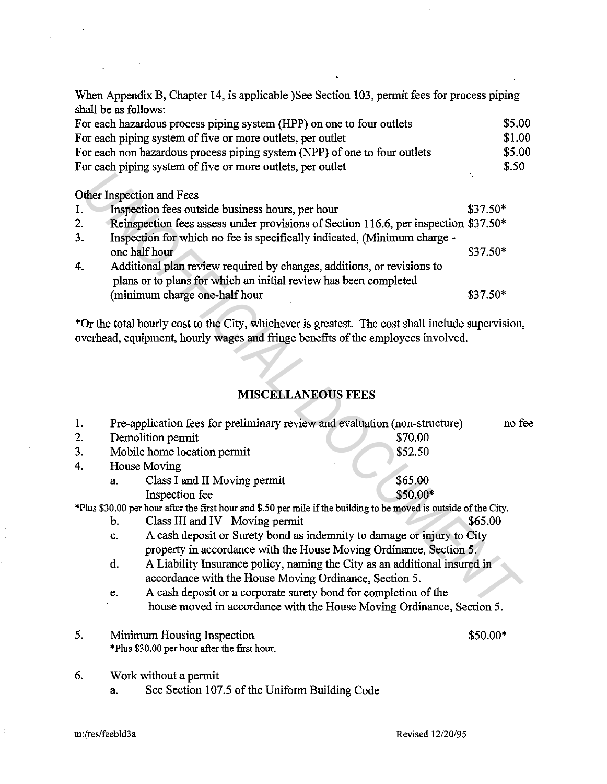When Appendix B, Chapter 14, is applicable )See Section 103, permit fees for process piping shall be as follows:

| For each hazardous process piping system (HPP) on one to four outlets     | \$5.00 |
|---------------------------------------------------------------------------|--------|
| For each piping system of five or more outlets, per outlet                | \$1.00 |
| For each non hazardous process piping system (NPP) of one to four outlets | \$5.00 |
| For each piping system of five or more outlets, per outlet                | \$.50  |

## Other Inspection and Fees

 $\overline{\phantom{a}}$ 

| 1. | Inspection fees outside business hours, per hour                                    | $$37.50*$ |
|----|-------------------------------------------------------------------------------------|-----------|
| 2. | Reinspection fees assess under provisions of Section 116.6, per inspection \$37.50* |           |
| 3. | Inspection for which no fee is specifically indicated, (Minimum charge -            |           |
|    | one half hour                                                                       | $$37.50*$ |
| 4. | Additional plan review required by changes, additions, or revisions to              |           |
|    | plans or to plans for which an initial review has been completed                    |           |
|    | (minimum charge one-half hour                                                       | $$37.50*$ |

# **MISCELLANEOUS FEES**

|    | Other Inspection and Fees                                                                                          |           |        |
|----|--------------------------------------------------------------------------------------------------------------------|-----------|--------|
| 1. | Inspection fees outside business hours, per hour                                                                   | $$37.50*$ |        |
| 2. | Reinspection fees assess under provisions of Section 116.6, per inspection \$37.50*                                |           |        |
| 3. | Inspection for which no fee is specifically indicated, (Minimum charge -                                           |           |        |
|    | one half hour                                                                                                      | \$37.50*  |        |
| 4. | Additional plan review required by changes, additions, or revisions to                                             |           |        |
|    | plans or to plans for which an initial review has been completed                                                   |           |        |
|    | (minimum charge one-half hour                                                                                      | \$37.50*  |        |
|    |                                                                                                                    |           |        |
|    | *Or the total hourly cost to the City, whichever is greatest. The cost shall include supervision,                  |           |        |
|    | overhead, equipment, hourly wages and fringe benefits of the employees involved.                                   |           |        |
|    |                                                                                                                    |           |        |
|    |                                                                                                                    |           |        |
|    | <b>MISCELLANEOUS FEES</b>                                                                                          |           |        |
|    |                                                                                                                    |           |        |
| 1. | Pre-application fees for preliminary review and evaluation (non-structure)                                         |           | no fee |
| 2. | Demolition permit<br>\$70.00                                                                                       |           |        |
| 3. | Mobile home location permit<br>\$52.50                                                                             |           |        |
| 4. | House Moving                                                                                                       |           |        |
|    | \$65.00<br>Class I and II Moving permit<br>a.                                                                      |           |        |
|    | \$50.00*<br>Inspection fee                                                                                         |           |        |
|    | *Plus \$30.00 per hour after the first hour and \$.50 per mile if the building to be moved is outside of the City. |           |        |
|    | Class III and IV Moving permit<br>b.                                                                               | \$65.00   |        |
|    | A cash deposit or Surety bond as indemnity to damage or injury to City<br>c.                                       |           |        |
|    | property in accordance with the House Moving Ordinance, Section 5.                                                 |           |        |
|    | A Liability Insurance policy, naming the City as an additional insured in<br>đ.                                    |           |        |
|    | accordance with the House Moving Ordinance, Section 5.                                                             |           |        |
|    | A cash deposit or a corporate surety bond for completion of the<br>e.                                              |           |        |
|    | house moved in accordance with the House Moving Ordinance, Section 5.                                              |           |        |
| 5. | Minimum Housing Inspection                                                                                         | $$50.00*$ |        |
|    | *Plus \$30.00 per hour after the first hour.                                                                       |           |        |
| 6. |                                                                                                                    |           |        |
|    | Work without a permit                                                                                              |           |        |
|    | See Section 107.5 of the Uniform Building Code<br>a.                                                               |           |        |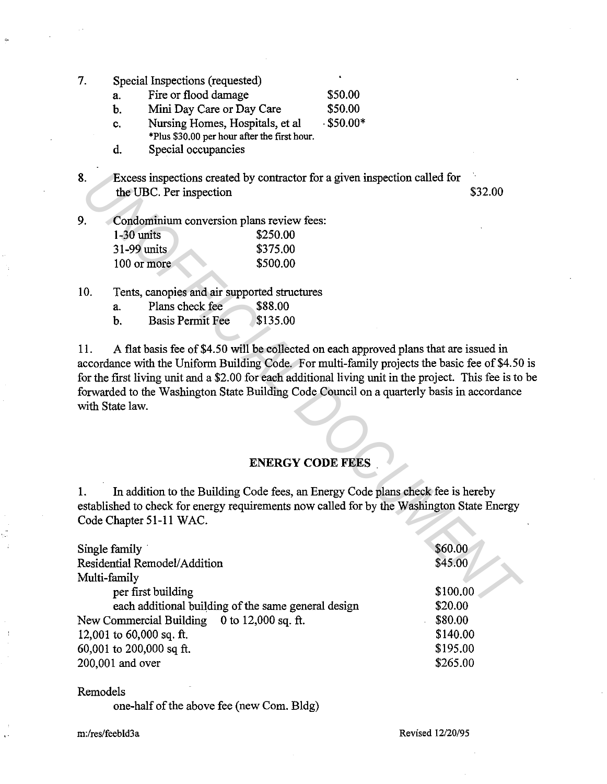- 7. Special Inspections (requested)
	- a. Fire or flood damage \$50.00
	- b. Mini Day Care or Day Care \$50.00
	- c. Nursing Homes, Hospitals, et al . \$50.00\*
		- \*Plus \$30.00 per hour after the first hour.
	- d. Special occupancies
- 8. Excess inspections created by contractor for a given inspection called for the UBC. Per inspection  $$32.00$
- 9. Condominium conversion plans review fees:

| $1-30$ units | \$250.00 |
|--------------|----------|
| 31-99 units. | \$375.00 |
| 100 or more  | \$500.00 |

- 10. Tents, canopies and air supported structures
	- a. Plans check fee \$88.00
	- b. Basis Permit Fee \$135.00

#### **ENERGY CODE FEES** .

| Excess inspections created by contractor for a given inspection called for<br>\$32.00                                                                                                                                                                                                                                                                                                         |
|-----------------------------------------------------------------------------------------------------------------------------------------------------------------------------------------------------------------------------------------------------------------------------------------------------------------------------------------------------------------------------------------------|
|                                                                                                                                                                                                                                                                                                                                                                                               |
|                                                                                                                                                                                                                                                                                                                                                                                               |
| A flat basis fee of \$4.50 will be collected on each approved plans that are issued in<br>accordance with the Uniform Building Code. For multi-family projects the basic fee of \$4.50<br>for the first living unit and a \$2.00 for each additional living unit in the project. This fee is to<br>forwarded to the Washington State Building Code Council on a quarterly basis in accordance |
| <b>ENERGY CODE FEES</b>                                                                                                                                                                                                                                                                                                                                                                       |
| In addition to the Building Code fees, an Energy Code plans check fee is hereby<br>established to check for energy requirements now called for by the Washington State Energy                                                                                                                                                                                                                 |
| \$60.00<br>\$45.00                                                                                                                                                                                                                                                                                                                                                                            |
| \$100.00<br>\$20.00<br>\$80.00<br>\$140.00                                                                                                                                                                                                                                                                                                                                                    |
|                                                                                                                                                                                                                                                                                                                                                                                               |

#### Remodels

one-half of the above fee (new Com. Bldg)

m:/res/feebld3a

Revised 12/20/95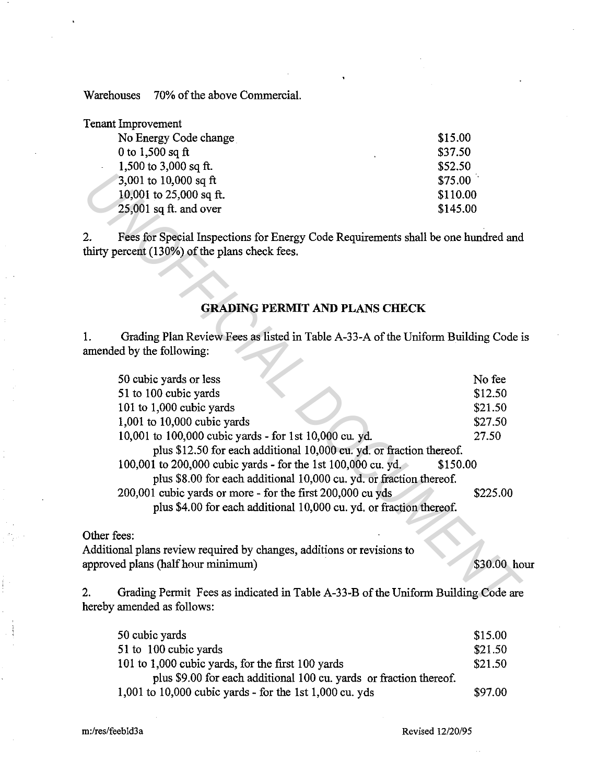Warehouses 70% of the above Commercial.

| <b>Tenant Improvement</b> |          |
|---------------------------|----------|
| No Energy Code change     | \$15.00  |
| 0 to $1,500$ sq ft        | \$37.50  |
| 1,500 to 3,000 sq ft.     | \$52.50  |
| 3,001 to 10,000 sq ft     | \$75.00  |
| 10,001 to 25,000 sq ft.   | \$110.00 |
| $25,001$ sq ft. and over  | \$145.00 |

#### **GRADING PERMIT AND PLANS CHECK**

|    | 3,001 to 10,000 sq ft<br>10,001 to 25,000 sq ft.<br>$25,001$ sq ft. and over                                                         | \$75.00<br>\$110.00<br>\$145.00 |
|----|--------------------------------------------------------------------------------------------------------------------------------------|---------------------------------|
| 2. | Fees for Special Inspections for Energy Code Requirements shall be one hundred and<br>thirty percent (130%) of the plans check fees. |                                 |
|    | <b>GRADING PERMIT AND PLANS CHECK</b>                                                                                                |                                 |
| 1. | Grading Plan Review Fees as listed in Table A-33-A of the Uniform Building Code i<br>amended by the following:                       |                                 |
|    | 50 cubic yards or less                                                                                                               | No fee                          |
|    | 51 to 100 cubic yards                                                                                                                | \$12.50                         |
|    | 101 to 1,000 cubic yards                                                                                                             | \$21.50                         |
|    | 1,001 to 10,000 cubic yards                                                                                                          | \$27.50                         |
|    | 10,001 to 100,000 cubic yards - for 1st 10,000 cu. yd.                                                                               | 27.50                           |
|    | plus \$12.50 for each additional 10,000 cu. yd. or fraction thereof.                                                                 |                                 |
|    | 100,001 to 200,000 cubic yards - for the 1st 100,000 cu. yd.                                                                         | \$150.00                        |
|    | plus \$8.00 for each additional 10,000 cu. yd. or fraction thereof.                                                                  |                                 |
|    | 200,001 cubic yards or more - for the first 200,000 cu yds                                                                           | \$225.00                        |
|    | plus \$4.00 for each additional 10,000 cu. yd. or fraction thereof.                                                                  |                                 |
|    | Other fees:                                                                                                                          |                                 |
|    | Additional plans review required by changes, additions or revisions to                                                               |                                 |
|    | approved plans (half hour minimum)                                                                                                   | \$30.00 ho                      |
| 2. | Grading Permit Fees as indicated in Table A-33-B of the Uniform Building Code are<br>hereby amended as follows:                      |                                 |

\$30.00 hour

2. Grading Permit Fees as indicated in Table A-33-B of the Uniform Building Code are hereby amended as follows:

| 50 cubic yards                                                     | \$15.00 |
|--------------------------------------------------------------------|---------|
| 51 to 100 cubic yards                                              | \$21.50 |
| 101 to 1,000 cubic yards, for the first 100 yards                  | \$21.50 |
| plus \$9.00 for each additional 100 cu. yards or fraction thereof. |         |
| $1,001$ to 10,000 cubic yards - for the 1st 1,000 cu. yds          | \$97.00 |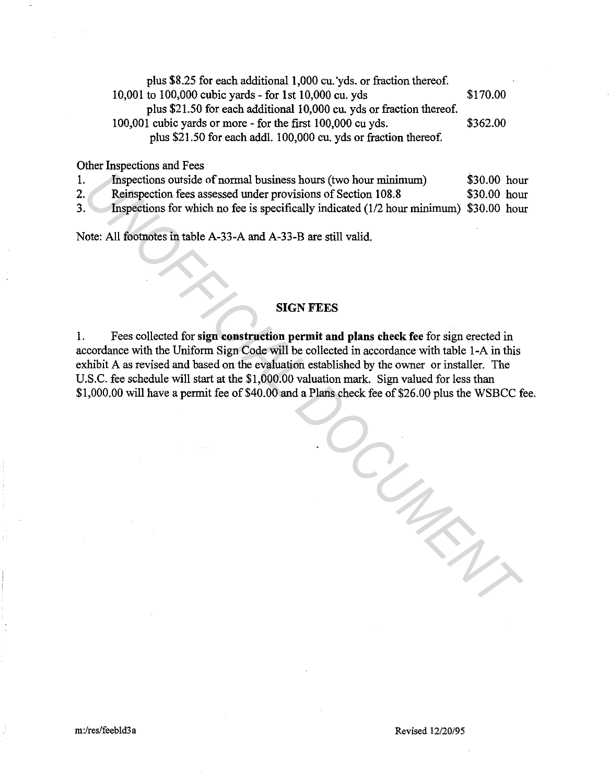| plus \$8.25 for each additional 1,000 cu. yds. or fraction thereof.  |          |
|----------------------------------------------------------------------|----------|
| 10,001 to 100,000 cubic yards - for 1st 10,000 cu. yds               | \$170.00 |
| plus \$21.50 for each additional 10,000 cu. yds or fraction thereof. |          |
| 100,001 cubic yards or more - for the first 100,000 cu yds.          | \$362.00 |
| plus \$21.50 for each addl. 100,000 cu. yds or fraction thereof.     |          |

Other Inspections and Fees

|     | Inspections outside of normal business hours (two hour minimum)                        | \$30.00 hour  |  |
|-----|----------------------------------------------------------------------------------------|---------------|--|
| 2.1 | Reinspection fees assessed under provisions of Section 108.8                           | $$30.00$ hour |  |
| 3.  | Inspections for which no fee is specifically indicated (1/2 hour minimum) \$30.00 hour |               |  |

Note: All footnotes in table A-33-A and A-33-B are still valid.

## **SIGN FEES**

1. Fees collected for **sign construction permit and plans check fee** for sign erected in accordance with the Uniform Sign Code will be collected in accordance with table 1-A in this exhibit A as revised and based on the evaluation established by the owner or installer. The U.S.C. fee schedule will start at the \$1,000.00 valuation mark. Sign valued for less than \$1,000.00 will have a permit fee of \$40.00 and a Plans check fee of \$26.00 plus the WSBCC fee. Inspections outside of normal business hours (two hour minimum) 530.00 hour<br>
Reinspection fece assessed under provisions of Section 108.8<br>
Inspections for which no Re is specifically indicated (1/2 hour minimum) \$30.00 hou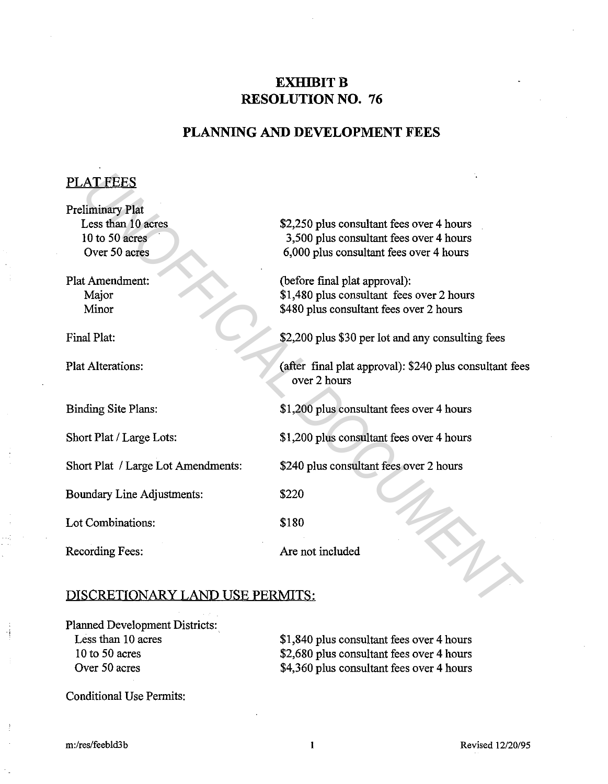# **EXHIBIT B RESOLUTION NO. 76**

# **PLANNING AND DEVELOPMENT FEES**

## PLAT FEES

| <b>PLAT FEES</b>                                                                 |                                                                                                                                 |  |
|----------------------------------------------------------------------------------|---------------------------------------------------------------------------------------------------------------------------------|--|
| <b>Preliminary Plat</b><br>Less than 10 acres<br>10 to 50 acres<br>Over 50 acres | \$2,250 plus consultant fees over 4 hours<br>3,500 plus consultant fees over 4 hours<br>6,000 plus consultant fees over 4 hours |  |
| <b>Plat Amendment:</b><br>Major<br>Minor                                         | (before final plat approval):<br>\$1,480 plus consultant fees over 2 hours<br>\$480 plus consultant fees over 2 hours           |  |
| Final Plat:                                                                      | \$2,200 plus \$30 per lot and any consulting fees                                                                               |  |
| <b>Plat Alterations:</b>                                                         | (after final plat approval): \$240 plus consultant fees<br>over 2 hours                                                         |  |
| Binding Site Plans:                                                              | \$1,200 plus consultant fees over 4 hours                                                                                       |  |
| Short Plat / Large Lots:                                                         | \$1,200 plus consultant fees over 4 hours                                                                                       |  |
| Short Plat / Large Lot Amendments:                                               | \$240 plus consultant fees over 2 hours                                                                                         |  |
| Boundary Line Adjustments:                                                       | \$220                                                                                                                           |  |
| Lot Combinations:                                                                | \$180                                                                                                                           |  |
| Recording Fees:                                                                  | Are not included                                                                                                                |  |
| DISCRETIONARY LAND USE PERMITS:                                                  |                                                                                                                                 |  |

# DISCRETIONARY LAND USE PERMITS:

Planned Development Districts: Less than 10 acres 10 to 50 acres Over 50 acres

\$1,840 plus consultant fees over 4 hours \$2,680 plus consultant fees over 4 hours \$4,360 plus consultant fees over 4 hours

Conditional Use Permits: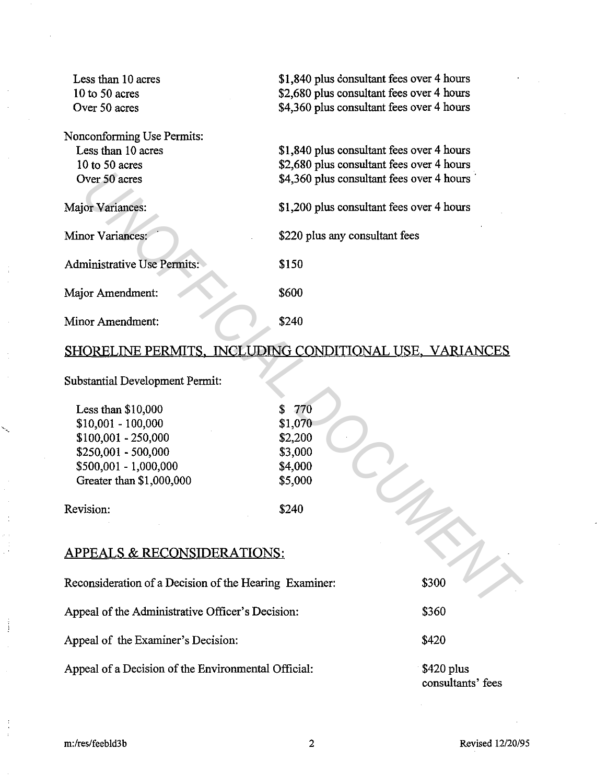| Less than 10 acres<br>$10$ to $50$ acres<br>Over 50 acres                                                                                      | \$1,840 plus consultant fees over 4 hours<br>\$2,680 plus consultant fees over 4 hours<br>\$4,360 plus consultant fees over 4 hours |      |
|------------------------------------------------------------------------------------------------------------------------------------------------|-------------------------------------------------------------------------------------------------------------------------------------|------|
| Nonconforming Use Permits:<br>Less than 10 acres<br>10 to 50 acres<br>Over 50 acres                                                            | \$1,840 plus consultant fees over 4 hours<br>\$2,680 plus consultant fees over 4 hours<br>\$4,360 plus consultant fees over 4 hours |      |
| <b>Major Variances:</b>                                                                                                                        | \$1,200 plus consultant fees over 4 hours                                                                                           |      |
| Minor Variances:                                                                                                                               | \$220 plus any consultant fees                                                                                                      |      |
| <b>Administrative Use Permits:</b>                                                                                                             | \$150                                                                                                                               |      |
| Major Amendment:                                                                                                                               | \$600                                                                                                                               |      |
| Minor Amendment:                                                                                                                               | \$240                                                                                                                               |      |
| SHORELINE PERMITS, INCLUDING CONDITIONAL USE, VARIANCES                                                                                        |                                                                                                                                     |      |
| <b>Substantial Development Permit:</b>                                                                                                         |                                                                                                                                     |      |
| Less than $$10,000$<br>$$10,001 - 100,000$<br>$$100,001 - 250,000$<br>\$250,001 - 500,000<br>\$500,001 - 1,000,000<br>Greater than \$1,000,000 | \$<br>770<br>\$1,070<br>\$2,200<br>\$3,000<br>\$4,000<br>\$5,000                                                                    |      |
| Revision:                                                                                                                                      | \$240                                                                                                                               |      |
| <b>APPEALS &amp; RECONSIDERATIONS:</b>                                                                                                         |                                                                                                                                     |      |
| Reconsideration of a Decision of the Hearing Examiner:<br>\$300                                                                                |                                                                                                                                     |      |
| Annael of the Administrative Officer's Decisions                                                                                               |                                                                                                                                     | 0250 |

# SHORELINE PERMITS, INCLUDING CONDITIONAL USE, VARIANCES

| Less than $$10,000$      | \$770   |
|--------------------------|---------|
| $$10,001 - 100,000$      | \$1,070 |
| $$100,001 - 250,000$     | \$2,200 |
| \$250,001 - 500,000      | \$3,000 |
| \$500,001 - 1,000,000    | \$4,000 |
| Greater than \$1,000,000 | \$5,000 |
| Revision:                | ደ240    |

# APPEALS & RECONSIDERATIONS:

Appeal of the Administrative Officer's Decision:

Appeal of the Examiner's Decision:

Appeal of a Decision of the Environmental Official:

\$360

\$420

\$420 plus consultants' fees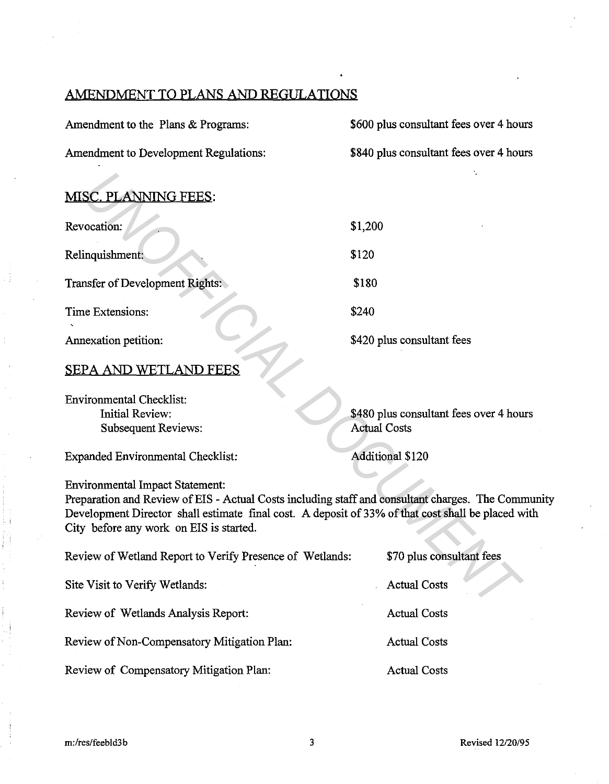# AMENDMENT TO PLANS AND REGULATIONS

| Amendment to the Plans & Programs:                                                                                                                                                                                                                                                            | \$600 plus consultant fees over 4 hours                        |  |  |
|-----------------------------------------------------------------------------------------------------------------------------------------------------------------------------------------------------------------------------------------------------------------------------------------------|----------------------------------------------------------------|--|--|
| Amendment to Development Regulations:                                                                                                                                                                                                                                                         | \$840 plus consultant fees over 4 hours                        |  |  |
|                                                                                                                                                                                                                                                                                               |                                                                |  |  |
| MISC. PLANNING FEES:                                                                                                                                                                                                                                                                          |                                                                |  |  |
| Revocation:                                                                                                                                                                                                                                                                                   | \$1,200                                                        |  |  |
| Relinquishment:                                                                                                                                                                                                                                                                               | \$120                                                          |  |  |
| Transfer of Development Rights:                                                                                                                                                                                                                                                               | \$180                                                          |  |  |
| Time Extensions:                                                                                                                                                                                                                                                                              | \$240                                                          |  |  |
| Annexation petition:                                                                                                                                                                                                                                                                          | \$420 plus consultant fees                                     |  |  |
| <b>SEPA AND WETLAND FEES</b>                                                                                                                                                                                                                                                                  |                                                                |  |  |
| <b>Environmental Checklist:</b><br><b>Initial Review:</b><br><b>Subsequent Reviews:</b>                                                                                                                                                                                                       | \$480 plus consultant fees over 4 hours<br><b>Actual Costs</b> |  |  |
| <b>Expanded Environmental Checklist:</b>                                                                                                                                                                                                                                                      | <b>Additional \$120</b>                                        |  |  |
| <b>Environmental Impact Statement:</b><br>Preparation and Review of EIS - Actual Costs including staff and consultant charges. The Community<br>Development Director shall estimate final cost. A deposit of 33% of that cost shall be placed with<br>City before any work on EIS is started. |                                                                |  |  |
| Review of Wetland Report to Verify Presence of Wetlands:                                                                                                                                                                                                                                      | \$70 plus consultant fees                                      |  |  |
| Site Visit to Verify Wetlands:                                                                                                                                                                                                                                                                | <b>Actual Costs</b>                                            |  |  |
| Review of Wetlands Analysis Report:                                                                                                                                                                                                                                                           | <b>Actual Costs</b>                                            |  |  |
| Review of Non-Compensatory Mitigation Plan:                                                                                                                                                                                                                                                   | <b>Actual Costs</b>                                            |  |  |
| Review of Compensatory Mitigation Plan:                                                                                                                                                                                                                                                       | <b>Actual Costs</b>                                            |  |  |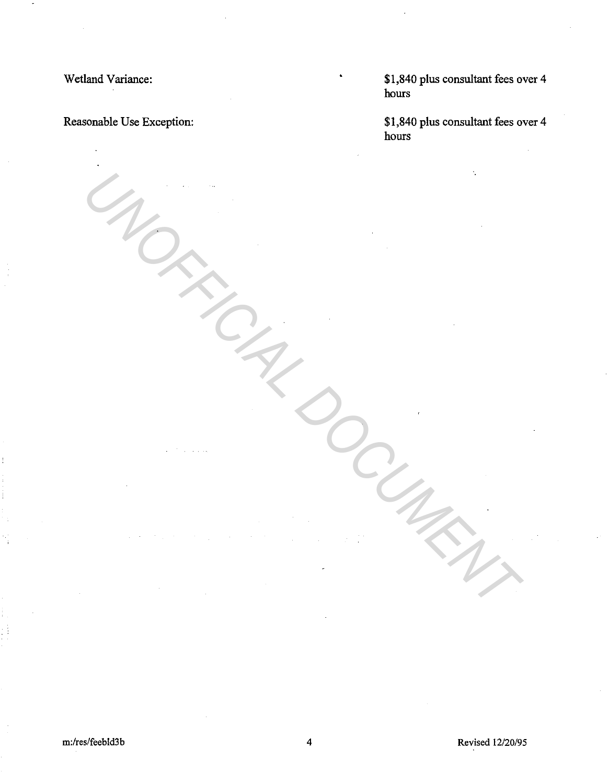Wetland Variance:

Reasonable Use Exception:

\$1,840 plus consultant fees over 4 hours

\$1,840 plus consultant fees over 4 hours

UNOFFICIAL DOCUMENT